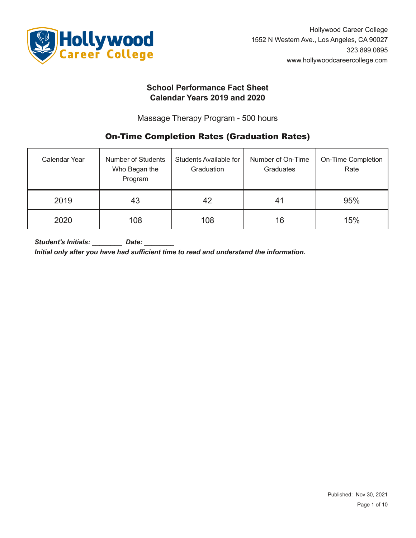

# **School Performance Fact Sheet Calendar Years 2019 and 2020**

Massage Therapy Program - 500 hours

# **On-Time Completion Rates (Graduation Rates)**

| Calendar Year | <b>Number of Students</b><br>Who Began the<br>Program | Students Available for<br>Graduation | Number of On-Time<br>Graduates | On-Time Completion<br>Rate |  |
|---------------|-------------------------------------------------------|--------------------------------------|--------------------------------|----------------------------|--|
| 2019          | 43                                                    | 42                                   | 41                             | 95%                        |  |
| 2020          | 108                                                   | 108                                  | 16                             | 15%                        |  |

*Student's Initials: \_\_\_\_\_\_\_\_ Date: \_\_\_\_\_\_\_\_*

*Initial only after you have had sufficient time to read and understand the information.*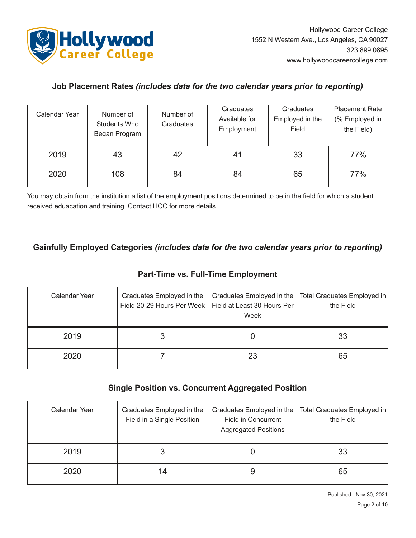

# **Job Placement Rates** *(includes data for the two calendar years prior to reporting)*

| Calendar Year | Number of<br>Students Who<br>Began Program | Number of<br>Graduates | Graduates<br>Available for<br>Employment | Graduates<br>Employed in the<br>Field | <b>Placement Rate</b><br>(% Employed in<br>the Field) |
|---------------|--------------------------------------------|------------------------|------------------------------------------|---------------------------------------|-------------------------------------------------------|
| 2019          | 43                                         | 42                     | 41                                       | 33                                    | 77%                                                   |
| 2020          | 108                                        | 84                     | 84                                       | 65                                    | 77%                                                   |

You may obtain from the institution a list of the employment positions determined to be in the field for which a student received eduacation and training. Contact HCC for more details.

# **Gainfully Employed Categories** *(includes data for the two calendar years prior to reporting)*

# **Part-Time vs. Full-Time Employment**

| Calendar Year | Graduates Employed in the<br>Field 20-29 Hours Per Week   Field at Least 30 Hours Per | Graduates Employed in the<br>Week | Total Graduates Employed in<br>the Field |
|---------------|---------------------------------------------------------------------------------------|-----------------------------------|------------------------------------------|
| 2019          |                                                                                       |                                   | 33                                       |
| 2020          |                                                                                       | 23                                | 65                                       |

# **Single Position vs. Concurrent Aggregated Position**

| Calendar Year | Graduates Employed in the<br>Field in a Single Position | Graduates Employed in the<br><b>Field in Concurrent</b><br><b>Aggregated Positions</b> | Total Graduates Employed in<br>the Field |  |
|---------------|---------------------------------------------------------|----------------------------------------------------------------------------------------|------------------------------------------|--|
| 2019          |                                                         |                                                                                        | 33                                       |  |
| 2020          | 14                                                      | g                                                                                      | 65                                       |  |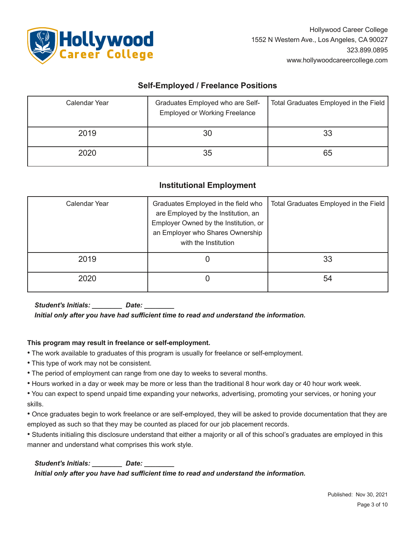

## **SelfEmployed / Freelance Positions**

| Calendar Year | Graduates Employed who are Self-<br><b>Employed or Working Freelance</b> | Total Graduates Employed in the Field |
|---------------|--------------------------------------------------------------------------|---------------------------------------|
| 2019          | 30                                                                       | 33                                    |
| 2020          | 35                                                                       | 65                                    |

## **Institutional Employment**

| Calendar Year | Graduates Employed in the field who<br>are Employed by the Institution, an<br>Employer Owned by the Institution, or<br>an Employer who Shares Ownership<br>with the Institution | Total Graduates Employed in the Field |
|---------------|---------------------------------------------------------------------------------------------------------------------------------------------------------------------------------|---------------------------------------|
| 2019          |                                                                                                                                                                                 | 33                                    |
| 2020          |                                                                                                                                                                                 | 54                                    |

*Student's Initials: \_\_\_\_\_\_\_\_ Date: \_\_\_\_\_\_\_\_*

*Initial only after you have had sufficient time to read and understand the information.*

#### **This program may result in freelance or selfemployment.**

• The work available to graduates of this program is usually for freelance or self-employment.

- This type of work may not be consistent.
- The period of employment can range from one day to weeks to several months.
- Hours worked in a day or week may be more or less than the traditional 8 hour work day or 40 hour work week.
- You can expect to spend unpaid time expanding your networks, advertising, promoting your services, or honing your skills.

• Once graduates begin to work freelance or are self-employed, they will be asked to provide documentation that they are employed as such so that they may be counted as placed for our job placement records.

• Students initialing this disclosure understand that either a majority or all of this school's graduates are employed in this manner and understand what comprises this work style.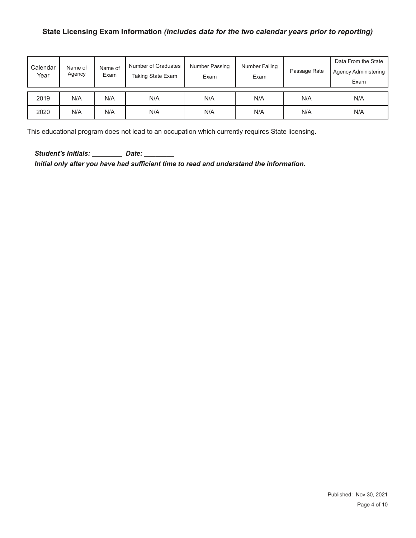## **State Licensing Exam Information** *(includes data for the two calendar years prior to reporting)*

| Calendar<br>Year | Name of<br>Agency | Name of<br>Exam | Number of Graduates<br>Taking State Exam | Number Passing<br>Exam | Number Failing<br>Exam | Passage Rate | Data From the State<br><b>Agency Administering</b><br>Exam |
|------------------|-------------------|-----------------|------------------------------------------|------------------------|------------------------|--------------|------------------------------------------------------------|
| 2019             | N/A               | N/A             | N/A                                      | N/A                    | N/A                    | N/A          | N/A                                                        |
| 2020             | N/A               | N/A             | N/A                                      | N/A                    | N/A                    | N/A          | N/A                                                        |

This educational program does not lead to an occupation which currently requires State licensing.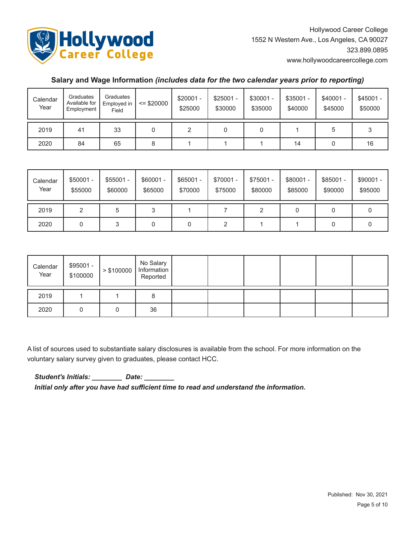

## **Salary and Wage Information** *(includes data for the two calendar years prior to reporting)*

| Calendar<br>Year | Graduates<br>Available for<br>Employment | Graduates<br>Employed in<br>Field | $=$ \$20000 | $$20001 -$<br>\$25000 | $$25001 -$<br>\$30000 | $$30001 -$<br>\$35000 | $$35001 -$<br>\$40000 | \$40001 -<br>\$45000 | $$45001 -$<br>\$50000 |
|------------------|------------------------------------------|-----------------------------------|-------------|-----------------------|-----------------------|-----------------------|-----------------------|----------------------|-----------------------|
| 2019             | 41                                       | 33                                |             |                       |                       |                       |                       |                      |                       |
| 2020             | 84                                       | 65                                | 8           |                       |                       |                       | 14                    |                      | 16                    |

| Calendar<br>Year | $$50001 -$<br>\$55000 | $$55001 -$<br>\$60000 | $$60001 -$<br>\$65000 | $$65001 -$<br>\$70000 | \$70001 -<br>\$75000 | \$75001 -<br>\$80000 | \$80001 -<br>\$85000 | $$85001 -$<br>\$90000 | $$90001 -$<br>\$95000 |
|------------------|-----------------------|-----------------------|-----------------------|-----------------------|----------------------|----------------------|----------------------|-----------------------|-----------------------|
| 2019             |                       | 5                     | 3                     |                       |                      |                      |                      | 0                     |                       |
| 2020             |                       | 3                     | U                     | 0                     |                      |                      |                      | 0                     |                       |

| Calendar<br>Year | \$95001 -<br>\$100000 | > \$100000 | No Salary<br>Information<br>Reported |  |  |  |
|------------------|-----------------------|------------|--------------------------------------|--|--|--|
| 2019             |                       |            | ŏ                                    |  |  |  |
| 2020             |                       |            | 36                                   |  |  |  |

A list of sources used to substantiate salary disclosures is available from the school. For more information on the voluntary salary survey given to graduates, please contact HCC.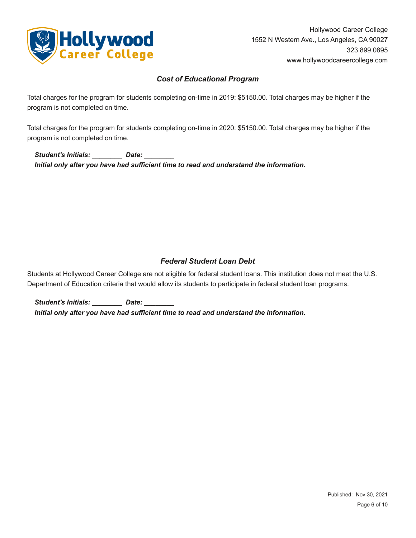

## *Cost of Educational Program*

Total charges for the program for students completing on-time in 2019: \$5150.00. Total charges may be higher if the program is not completed on time.

Total charges for the program for students completing on-time in 2020: \$5150.00. Total charges may be higher if the program is not completed on time.

*Student's Initials: \_\_\_\_\_\_\_\_ Date: \_\_\_\_\_\_\_\_ Initial only after you have had sufficient time to read and understand the information.*

## *Federal Student Loan Debt*

Students at Hollywood Career College are not eligible for federal student loans. This institution does not meet the U.S. Department of Education criteria that would allow its students to participate in federal student loan programs.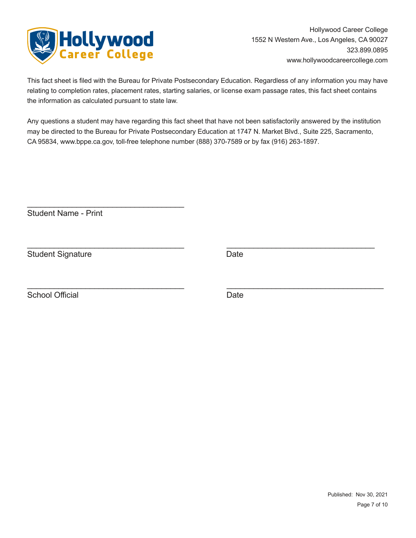

This fact sheet is filed with the Bureau for Private Postsecondary Education. Regardless of any information you may have relating to completion rates, placement rates, starting salaries, or license exam passage rates, this fact sheet contains the information as calculated pursuant to state law.

Any questions a student may have regarding this fact sheet that have not been satisfactorily answered by the institution may be directed to the Bureau for Private Postsecondary Education at 1747 N. Market Blvd., Suite 225, Sacramento, CA 95834, www.bppe.ca.gov, toll-free telephone number (888) 370-7589 or by fax (916) 263-1897.

 $\_$  , and the contribution of the contribution of  $\overline{\mathcal{L}}$  , and  $\overline{\mathcal{L}}$  , and  $\overline{\mathcal{L}}$  , and  $\overline{\mathcal{L}}$ 

 $\_$  , and the contribution of the contribution of  $\mathcal{L}_\mathcal{A}$  , and the contribution of  $\mathcal{L}_\mathcal{A}$ 

**Student Name - Print** 

 $\mathcal{L}_\text{max}$  , and the set of the set of the set of the set of the set of the set of the set of the set of the set of the set of the set of the set of the set of the set of the set of the set of the set of the set of the

Student Signature Date

School Official Date Date Date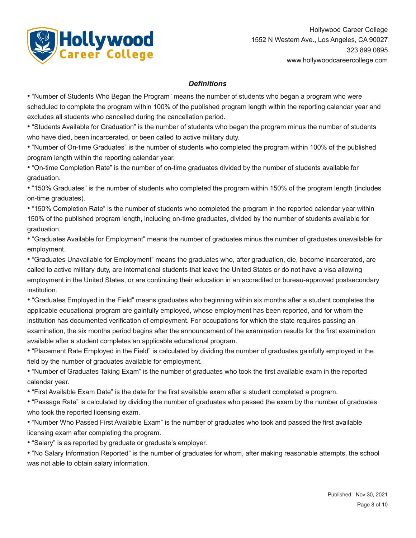

## *Definitions*

• "Number of Students Who Began the Program" means the number of students who began a program who were scheduled to complete the program within 100% of the published program length within the reporting calendar year and excludes all students who cancelled during the cancellation period.

• "Students Available for Graduation" is the number of students who began the program minus the number of students who have died, been incarcerated, or been called to active military duty.

• "Number of On-time Graduates" is the number of students who completed the program within 100% of the published program length within the reporting calendar year.

• "On-time Completion Rate" is the number of on-time graduates divided by the number of students available for graduation.

• "150% Graduates" is the number of students who completed the program within 150% of the program length (includes on-time graduates).

• "150% Completion Rate" is the number of students who completed the program in the reported calendar year within 150% of the published program length, including on-time graduates, divided by the number of students available for graduation.

• "Graduates Available for Employment" means the number of graduates minus the number of graduates unavailable for employment.

• "Graduates Unavailable for Employment" means the graduates who, after graduation, die, become incarcerated, are called to active military duty, are international students that leave the United States or do not have a visa allowing employment in the United States, or are continuing their education in an accredited or bureau-approved postsecondary institution.

• "Graduates Employed in the Field" means graduates who beginning within six months after a student completes the applicable educational program are gainfully employed, whose employment has been reported, and for whom the institution has documented verification of employment. For occupations for which the state requires passing an examination, the six months period begins after the announcement of the examination results for the first examination available after a student completes an applicable educational program.

• "Placement Rate Employed in the Field" is calculated by dividing the number of graduates gainfully employed in the field by the number of graduates available for employment.

• "Number of Graduates Taking Exam" is the number of graduates who took the first available exam in the reported calendar year.

• "First Available Exam Date" is the date for the first available exam after a student completed a program.

• "Passage Rate" is calculated by dividing the number of graduates who passed the exam by the number of graduates who took the reported licensing exam.

• "Number Who Passed First Available Exam" is the number of graduates who took and passed the first available licensing exam after completing the program.

• "Salary" is as reported by graduate or graduate's employer.

• "No Salary Information Reported" is the number of graduates for whom, after making reasonable attempts, the school was not able to obtain salary information.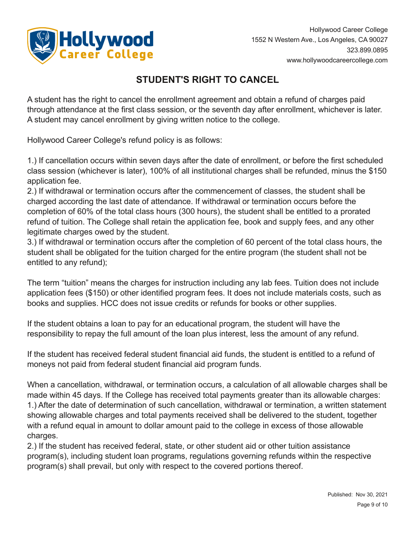

# **STUDENT'S RIGHT TO CANCEL**

A student has the right to cancel the enrollment agreement and obtain a refund of charges paid through attendance at the first class session, or the seventh day after enrollment, whichever is later. A student may cancel enrollment by giving written notice to the college.

Hollywood Career College's refund policy is as follows:

1.) If cancellation occurs within seven days after the date of enrollment, or before the first scheduled class session (whichever is later), 100% of all institutional charges shall be refunded, minus the \$150 application fee.

2.) If withdrawal or termination occurs after the commencement of classes, the student shall be charged according the last date of attendance. If withdrawal or termination occurs before the completion of 60% of the total class hours (300 hours), the student shall be entitled to a prorated refund of tuition. The College shall retain the application fee, book and supply fees, and any other legitimate charges owed by the student.

3.) If withdrawal or termination occurs after the completion of 60 percent of the total class hours, the student shall be obligated for the tuition charged for the entire program (the student shall not be entitled to any refund);

The term "tuition" means the charges for instruction including any lab fees. Tuition does not include application fees (\$150) or other identified program fees. It does not include materials costs, such as books and supplies. HCC does not issue credits or refunds for books or other supplies.

If the student obtains a loan to pay for an educational program, the student will have the responsibility to repay the full amount of the loan plus interest, less the amount of any refund.

If the student has received federal student financial aid funds, the student is entitled to a refund of moneys not paid from federal student financial aid program funds.

When a cancellation, withdrawal, or termination occurs, a calculation of all allowable charges shall be made within 45 days. If the College has received total payments greater than its allowable charges: 1.) After the date of determination of such cancellation, withdrawal or termination, a written statement showing allowable charges and total payments received shall be delivered to the student, together with a refund equal in amount to dollar amount paid to the college in excess of those allowable charges.

2.) If the student has received federal, state, or other student aid or other tuition assistance program(s), including student loan programs, regulations governing refunds within the respective program(s) shall prevail, but only with respect to the covered portions thereof.